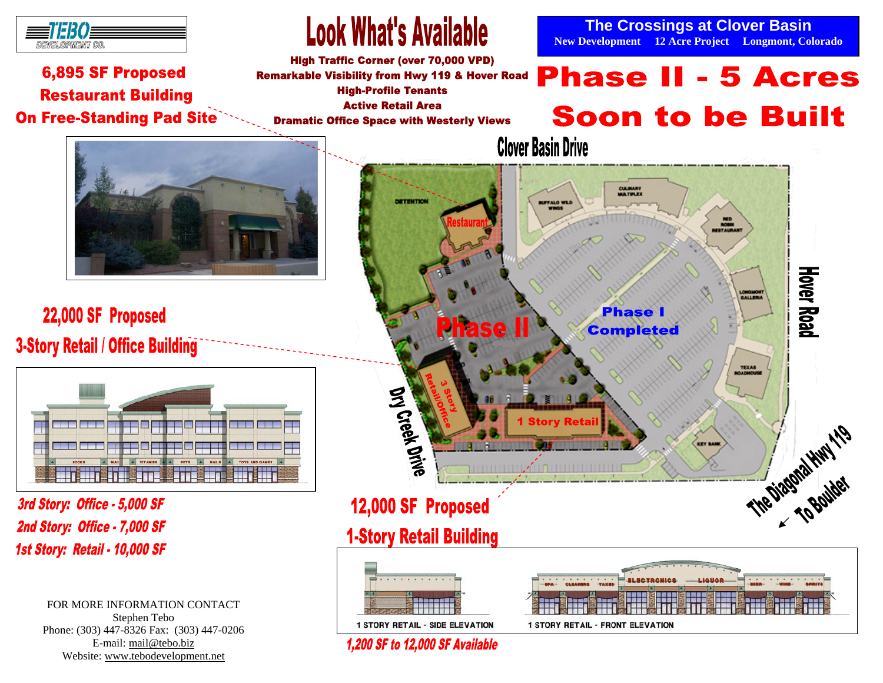

### 6,895 SF Proposed **Restaurant Building On Free-Standing Pad Site**

## **Look What's Available**

**High Traffic Corner (over 70,000 VPD) Remarkable Visibility from Hwy 119 & Hover Road High-Profile Tenants Active Retail Area Dramatic Office Space with Westerly Views** 

**The Crossings at Clover Basin New Development 12 Acre Project Longmont, Colorado** 

# **Phase II - 5 Acres Soon to be Built**



22,000 SF Proposed **3-Story Retail / Office Building** 



3rd Story: Office - 5,000 SF 2nd Story: Office - 7,000 SF 1st Story: Retail - 10,000 SF

> FOR MORE INFORMATION CONTACT Stephen Tebo Phone: (303) 447-8326 Fax: (303) 447-0206 E-mail: mail@tebo.biz Website: www.tebodevelopment.net



**1 STORY RETAIL - FRONT ELEVATION** 

**1 STORY RETAIL - SIDE ELEVATION 1.200 SF to 12.000 SF Available**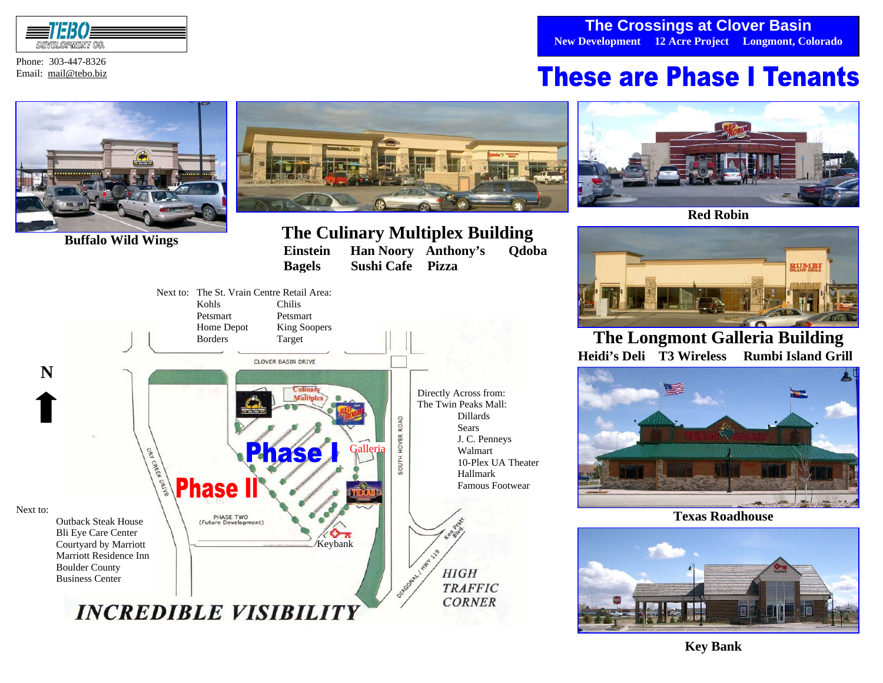

Phone: 303-447-8326 Email: mail@tebo.biz

### **The Crossings at Clover Basin New Development 12 Acre Project Longmont, Colorado**

## **These are Phase I Tenants**





**Buffalo Wild Wings**<br> **Buffalo Wild Wings**<br> **PEINTED Einstein Han Noory Anthony's Qdoba**<br> **Bagels** Sushi Cafe Pizza  **Bagels Sushi Cafe Pizza**





**Red Robin**



**The Longmont Galleria Building Heidi's Deli T3 Wireless Rumbi Island Grill** 



**Texas Roadhouse** 



**Key Bank**